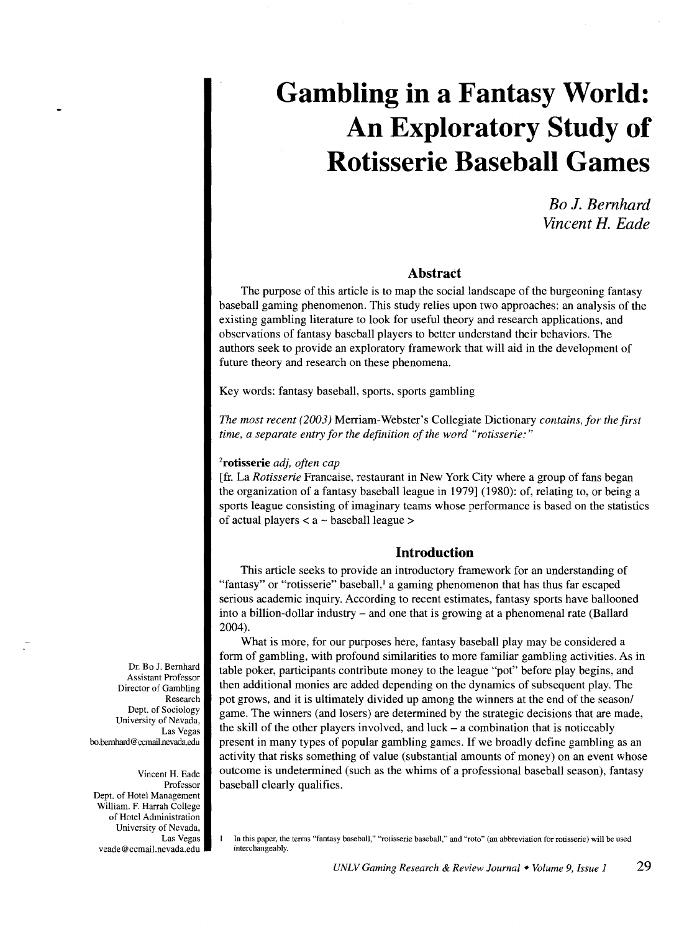# **Gambling in a Fantasy World: An Exploratory Study of Rotisserie Baseball Games**

*Bo* J. *Bernhard Vincent H. Eade* 

#### **Abstract**

The purpose of this article is to map the social landscape of the burgeoning fantasy baseball gaming phenomenon. This study relies upon two approaches: an analysis of the existing gambling literature to look for useful theory and research applications, and observations of fantasy baseball players to better understand their behaviors. The authors seek to provide an exploratory framework that will aid in the development of future theory and research on these phenomena.

Key words: fantasy baseball, sports, sports gambling

*The most recent (2003)* Merriam-Webster's Collegiate Dictionary *contains, for the first time, a separate entry for the definition of the word "rotisserie:"* 

### <sup>2</sup>rotisserie *adj, often cap*

[fr. La *Rotisserie* Francaise, restaurant in New York City where a group of fans began the organization of a fantasy baseball league in 1979] (1980): of, relating to, or being a sports league consisting of imaginary teams whose performance is based on the statistics of actual players  $\lt a \lt \text{baseball}$  league  $\gt$ 

# **Introduction**

This article seeks to provide an introductory framework for an understanding of "fantasy" or "rotisserie" baseball,<sup>1</sup> a gaming phenomenon that has thus far escaped serious academic inquiry. According to recent estimates, fantasy sports have ballooned into a billion-dollar industry - and one that is growing at a phenomenal rate (Ballard 2004).

What is more, for our purposes here, fantasy baseball play may be considered a form of gambling, with profound similarities to more familiar gambling activities. As in table poker, participants contribute money to the league "pot" before play begins, and then additional monies are added depending on the dynamics of subsequent play. The pot grows, and it is ultimately divided up among the winners at the end of the season/ game. The winners (and losers) are determined by the strategic decisions that are made, the skill of the other players involved, and luck- a combination that is noticeably present in many types of popular gambling games. If we broadly define gambling as an activity that risks something of value (substantial amounts of money) on an event whose outcome is undetermined (such as the whims of a professional baseball season), fantasy baseball clearly qualifies.

1 In this paper, the terms "fanlasy baseball," "rotisserie baseball," and "roto" (an abbreviation for rotisserie) will be used interchangeably.

Dr. Bo J. Bernhard Assistant Professor Director of Gambling Research Dept. of Sociology University of Nevada, Las Vegas bo.bernhanl@ccmail.nevada.edu

Vincent H. Eade Professor Dept. of Hotel Management William. F. Harrah College of Hotel Administration University of Nevada, Las Vegas veade@ccmail.nevada.edu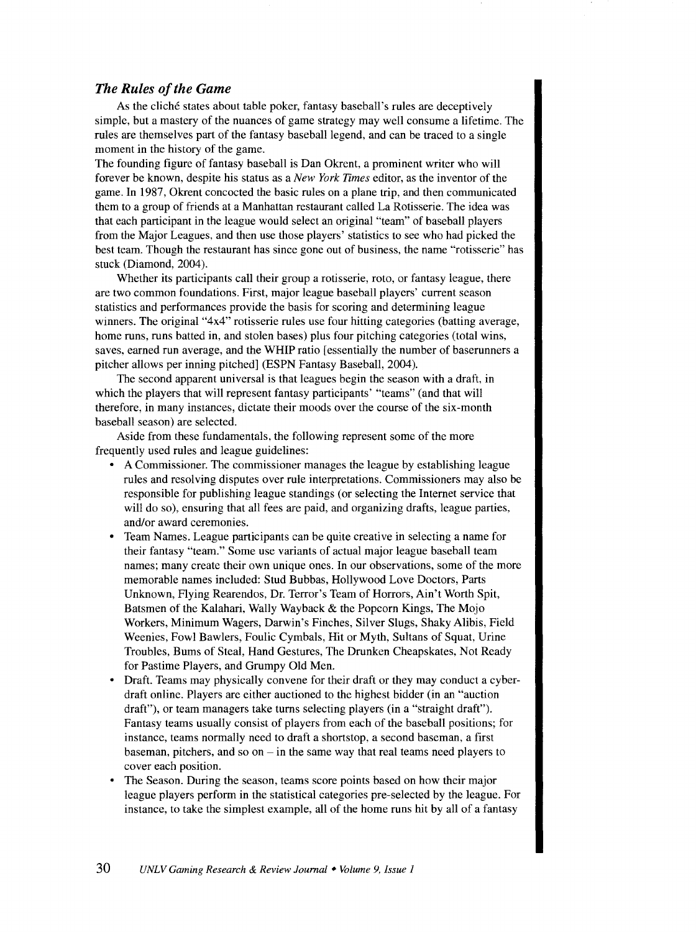## *The Rules of the Game*

As the cliché states about table poker, fantasy baseball's rules are deceptively simple, but a mastery of the nuances of game strategy may well consume a lifetime. The rules are themselves part of the fantasy baseball legend, and can be traced to a single moment in the history of the game.

The founding figure of fantasy baseball is Dan Okrent, a prominent writer who will forever be known, despite his status as a *New York Times* editor, as the inventor of the game. In 1987, Okrent concocted the basic rules on a plane trip, and then communicated them to a group of friends at a Manhattan restaurant called La Rotisserie. The idea was that each participant in the league would select an original "team" of baseball players from the Major Leagues, and then use those players' statistics to see who had picked the best team. Though the restaurant has since gone out of business, the name "rotisserie" has stuck (Diamond, 2004).

Whether its participants call their group a rotisserie, roto, or fantasy league, there are two common foundations. First, major league baseball players' current season statistics and performances provide the basis for scoring and determining league winners. The original "4x4" rotisserie rules use four hitting categories (batting average, home runs, runs batted in, and stolen bases) plus four pitching categories (total wins, saves, earned run average, and the WHIP ratio [essentially the number of baserunners a pitcher allows per inning pitched] (ESPN Fantasy Baseball, 2004).

The second apparent universal is that leagues begin the season with a draft, in which the players that will represent fantasy participants' "teams" (and that will therefore, in many instances, dictate their moods over the course of the six-month baseball season) are selected.

Aside from these fundamentals, the following represent some of the more frequently used rules and league guidelines:

- A Commissioner. The commissioner manages the league by establishing league rules and resolving disputes over rule interpretations. Commissioners may also be responsible for publishing league standings (or selecting the Internet service that will do so), ensuring that all fees are paid, and organizing drafts, league parties, and/or award ceremonies.
- Team Names. League participants can be quite creative in selecting a name for their fantasy "team." Some use variants of actual major league baseball team names; many create their own unique ones. In our observations, some of the more memorable names included: Stud Bubbas, Hollywood Love Doctors, Parts Unknown, Flying Rearendos, Dr. Terror's Team of Horrors, Ain't Worth Spit, Batsmen of the Kalahari, Wally Wayback & the Popcorn Kings, The Mojo Workers, Minimum Wagers, Darwin's Finches, Silver Slugs, Shaky Alibis, Field Weenies, Fowl Bawlers, Foulic Cymbals, Hit or Myth, Sultans of Squat, Urine Troubles, Bums of Steal, Hand Gestures, The Drunken Cheapskates, Not Ready for Pastime Players, and Grumpy Old Men.
- Draft. Teams may physically convene for their draft or they may conduct a cyberdraft online. Players are either auctioned to the highest bidder (in an "auction draft"), or team managers take turns selecting players (in a "straight draft"). Fantasy teams usually consist of players from each of the baseball positions; for instance, teams normally need to draft a shortstop, a second baseman, a first baseman, pitchers, and so on  $-$  in the same way that real teams need players to cover each position.
- The Season. During the season, teams score points based on how their major league players perform in the statistical categories pre-selected by the league. For instance, to take the simplest example, all of the home runs hit by all of a fantasy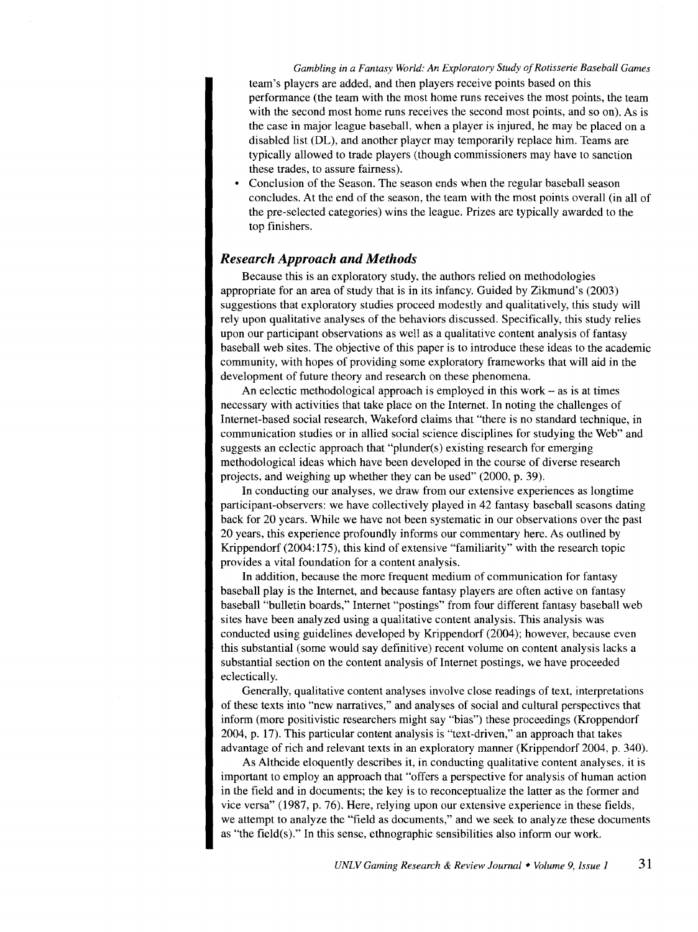*Gambling in a Fantasy World: An Exploratory Study of Rotisserie Baseball Games*  team's players are added, and then players receive points based on this performance (the team with the most home runs receives the most points, the team with the second most home runs receives the second most points, and so on). As is the case in major league baseball, when a player is injured, he may be placed on a disabled list (DL), and another player may temporarily replace him. Teams are typically allowed to trade players (though commissioners may have to sanction these trades, to assure fairness).

• Conclusion of the Season. The season ends when the regular baseball season concludes. At the end of the season, the team with the most points overall (in all of the pre-selected categories) wins the league. Prizes are typically awarded to the top finishers.

# *Research Approach and Methods*

Because this is an exploratory study, the authors relied on methodologies appropriate for an area of study that is in its infancy. Guided by Zikmund's (2003) suggestions that exploratory studies proceed modestly and qualitatively, this study will rely upon qualitative analyses of the behaviors discussed. Specifically, this study relies upon our participant observations as well as a qualitative content analysis of fantasy baseball web sites. The objective of this paper is to introduce these ideas to the academic community, with hopes of providing some exploratory frameworks that will aid in the development of future theory and research on these phenomena.

An eclectic methodological approach is employed in this work- as is at times necessary with activities that take place on the Internet. In noting the challenges of Internet-based social research, Wakeford claims that "there is no standard technique, in communication studies or in allied social science disciplines for studying the Web" and suggests an eclectic approach that "plunder(s) existing research for emerging methodological ideas which have been developed in the course of diverse research projects, and weighing up whether they can be used" (2000, p. 39).

In conducting our analyses, we draw from our extensive experiences as longtime participant-observers: we have collectively played in 42 fantasy baseball seasons dating back for 20 years. While we have not been systematic in our observations over the past 20 years, this experience profoundly informs our commentary here. As outlined by Krippendorf (2004:175), this kind of extensive "familiarity" with the research topic provides a vital foundation for a content analysis.

In addition, because the more frequent medium of communication for fantasy baseball play is the Internet, and because fantasy players are often active on fantasy baseball "bulletin boards," Internet "postings" from four different fantasy baseball web sites have been analyzed using a qualitative content analysis. This analysis was conducted using guidelines developed by Krippendorf (2004); however, because even this substantial (some would say definitive) recent volume on content analysis lacks a substantial section on the content analysis of Internet postings, we have proceeded eclectically.

Generally, qualitative content analyses involve close readings of text, interpretations of these texts into "new narratives," and analyses of social and cultural perspectives that inform (more positivistic researchers might say "bias") these proceedings (Kroppendorf 2004, p. 17). This particular content analysis is "text-driven," an approach that takes advantage of rich and relevant texts in an exploratory manner (Krippendorf 2004, p. 340).

As Altheide eloquently describes it, in conducting qualitative content analyses. it is important to employ an approach that "offers a perspective for analysis of human action in the field and in documents; the key is to reconceptualize the latter as the former and vice versa" (1987, p. 76). Here, relying upon our extensive experience in these fields, we attempt to analyze the "field as documents," and we seek to analyze these documents as "the field(s)." In this sense, ethnographic sensibilities also inform our work.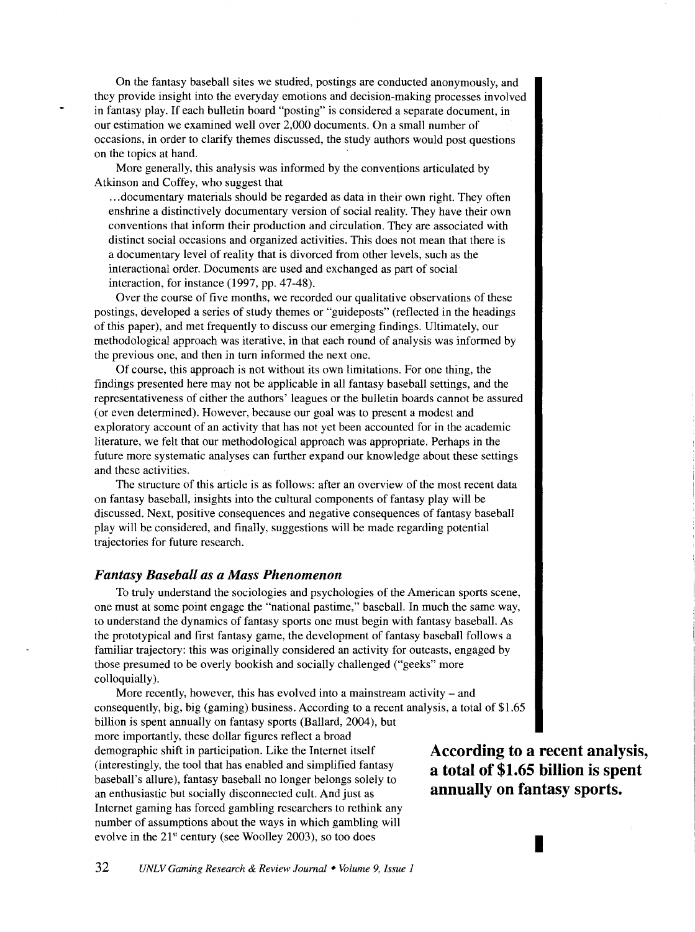On the fantasy baseball sites we studred, postings are conducted anonymously, and they provide insight into the everyday emotions and decision-making processes involved in fantasy play. If each bulletin board "posting" is considered a separate document, in our estimation we examined well over 2,000 documents. On a small number of occasions, in order to clarify themes discussed, the study authors would post questions on the topics at hand.

More generally, this analysis was informed by the conventions articulated by Atkinson and Coffey, who suggest that

... documentary materials should be regarded as data in their own right. They often enshrine a distinctively documentary version of social reality. They have their own conventions that inform their production and circulation. They are associated with distinct social occasions and organized activities. This does not mean that there is a documentary level of reality that is divorced from other levels, such as the interactional order. Documents are used and exchanged as part of social interaction, for instance (1997, pp. 47-48).

Over the course of five months, we recorded our qualitative observations of these postings, developed a series of study themes or "guideposts" (reflected in the headings of this paper), and met frequently to discuss our emerging findings. Ultimately, our methodological approach was iterative, in that each round of analysis was informed by the previous one, and then in turn informed the next one.

Of course, this approach is not without its own limitations. For one thing, the findings presented here may not be applicable in all fantasy baseball settings, and the representativeness of either the authors' leagues or the bulletin boards cannot be assured (or even determined). However, because our goal was to present a modest and exploratory account of an activity that has not yet been accounted for in the academic literature, we felt that our methodological approach was appropriate. Perhaps in the future more systematic analyses can further expand our knowledge about these settings and these activities.

The structure of this article is as follows: after an overview of the most recent data on fantasy baseball, insights into the cultural components of fantasy play will be discussed. Next, positive consequences and negative consequences of fantasy baseball play will be considered, and finally, suggestions will be made regarding potential trajectories for future research.

## *Fantasy Baseball as a Mass Phenomenon*

To truly understand the sociologies and psychologies of the American sports scene, one must at some point engage the "national pastime," baseball. In much the same way, to understand the dynamics of fantasy sports one must begin with fantasy baseball. As the prototypical and first fantasy game, the development of fantasy baseball follows a familiar trajectory: this was originally considered an activity for outcasts, engaged by those presumed to be overly bookish and socially challenged ("geeks" more colloquially).

More recently, however, this has evolved into a mainstream activity - and consequently, big, big (gaming) business. According to a recent analysis, a total of \$1.65 billion is spent annually on fantasy sports (Ballard, 2004), but more importantly, these dollar figures reflect a broad demographic shift in participation. Like the Internet itself (interestingly, the tool that has enabled and simplified fantasy baseball's allure), fantasy baseball no longer belongs solely to an enthusiastic but socially disconnected cult. And just as Internet gaming has forced gambling researchers to rethink any number of assumptions about the ways in which gambling will evolve in the 21<sup>st</sup> century (see Woolley 2003), so too does

**According to a recent analysis, a total of \$1.65 billion is spent annually on fantasy sports.**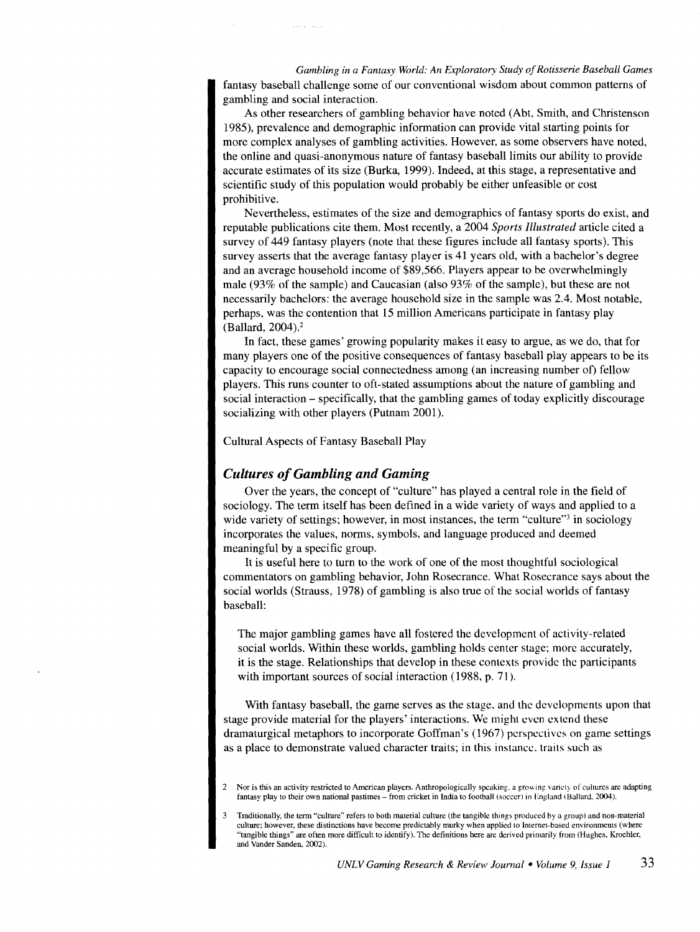*Gambling in a Fantasy World: An Exploratory Study of Rotisserie Baseball Games*  fantasy baseball challenge some of our conventional wisdom about common patterns of gambling and social interaction.

As other researchers of gambling behavior have noted (Abt, Smith, and Christenson 1985), prevalence and demographic information can provide vital starting points for more complex analyses of gambling activities. However, as some observers have noted, the online and quasi-anonymous nature of fantasy baseball limits our ability to provide accurate estimates of its size (Burka, 1999). Indeed, at this stage, a representative and scientific study of this population would probably be either unfeasible or cost prohibitive.

Nevertheless, estimates of the size and demographics of fantasy sports do exist, and reputable publications cite them. Most recently, a 2004 *Sports Illustrated* article cited a survey of 449 fantasy players (note that these figures include all fantasy sports). This survey asserts that the average fantasy player is 41 years old, with a bachelor's degree and an average household income of \$89,566. Players appear to be overwhelmingly male (93% of the sample) and Caucasian (also  $93\%$  of the sample), but these are not necessarily bachelors: the average household size in the sample was 2.4. Most notable, perhaps, was the contention that 15 million Americans participate in fantasy play (Ballard, 2004).<sup>2</sup>

In fact, these games' growing popularity makes it easy to argue, as we do, that for many players one of the positive consequences of fantasy baseball play appears to be its capacity to encourage social connectedness among (an increasing number of) fellow players. This runs counter to oft-stated assumptions about the nature of gambling and social interaction- specifically, that the gambling games of today explicitly discourage socializing with other players (Putnam 2001).

Cultural Aspects of Fantasy Baseball Play

associations

# *Cultures of Gambling and Gaming*

Over the years, the concept of "culture" has played a central role in the field of sociology. The term itself has been defined in a wide variety of ways and applied to a wide variety of settings; however, in most instances, the term "culture"<sup>3</sup> in sociology incorporates the values, norms, symbols, and language produced and deemed meaningful by a specific group.

It is useful here to turn to the work of one of the most thoughtful sociological commentators on gambling behavior, John Rosecrance. What Rosecrance says about the social worlds (Strauss, 1978) of gambling is also true of the social worlds of fantasy baseball:

The major gambling games have all fostered the development of activity-related social worlds. Within these worlds, gambling holds center stage; more accurately, it is the stage. Relationships that develop in these contexts provide the participants with important sources of social interaction (1988, p. 71).

With fantasy baseball, the game serves as the stage. and the developments upon that stage provide material for the players' interactions. We might even extend these dramaturgical metaphors to incorporate Goffman's (1967) perspectives on game settings as a place to demonstrate valued character traits; in this instance. traits such as

<sup>2</sup> Nor is this an activity restricted to American players. Anthropologically speaking, a growing variety of cultures are adapting fantasy play to their own national pastimes - from cricket in India to football (soccer) in England (Ballard. 2004).

<sup>3</sup> Traditionally, the term "culture" refers to both material culture (the tangible things produced by a group) and non-material culture; however, these distinctions have become predictably murky when applied to Internet-based environments (where "tangible things" are often more difficult to identify). The defirtitions here are derived primarily from (Hughes, Kroehler, and Vander Sanden, 2002).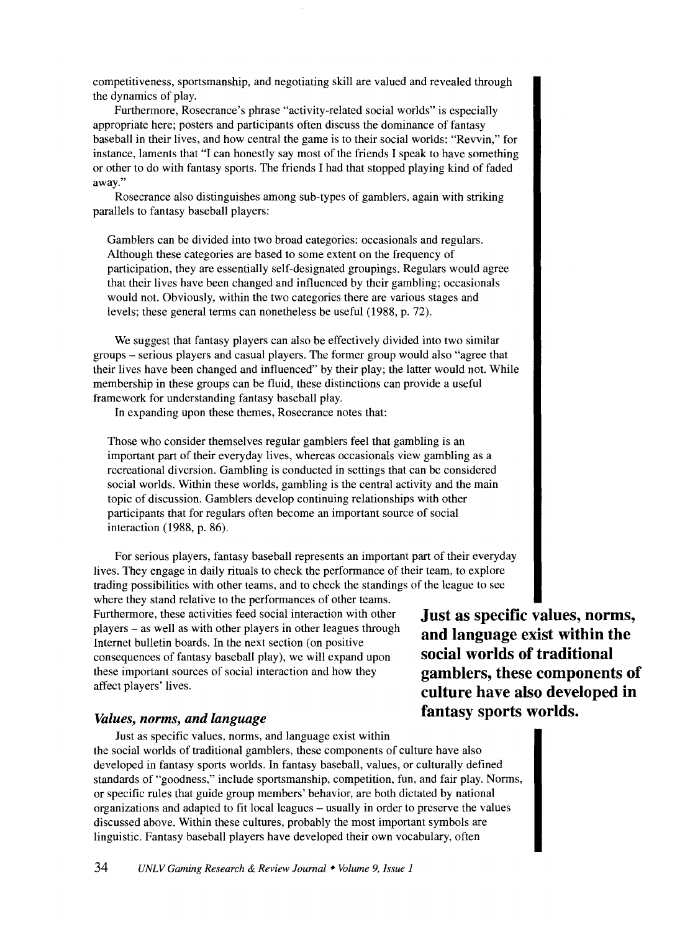competitiveness, sportsmanship, and negotiating skill are valued and revealed through the dynamics of play.

Furthermore, Rosecrance's phrase "activity-related social worlds" is especially appropriate here; posters and participants often discuss the dominance of fantasy baseball in their lives, and how central the game is to their social worlds: "Revvin," for instance, laments that "I can honestly say most of the friends I speak to have something or other to do with fantasy sports. The friends I had that stopped playing kind of faded away."

Rosecrance also distinguishes among sub-types of gamblers, again with striking parallels to fantasy baseball players:

Gamblers can be divided into two broad categories: occasionals and regulars. Although these categories are based to some extent on the frequency of participation, they are essentially self-designated groupings. Regulars would agree that their lives have been changed and influenced by their gambling; occasionals would not. Obviously, within the two categories there are various stages and levels; these general terms can nonetheless be useful (1988, p. 72).

We suggest that fantasy players can also be effectively divided into two similar groups - serious players and casual players. The former group would also "agree that their lives have been changed and influenced" by their play; the latter would not. While membership in these groups can be fluid, these distinctions can provide a useful framework for understanding fantasy baseball play.

In expanding upon these themes, Rosecrance notes that:

Those who consider themselves regular gamblers feel that gambling is an important part of their everyday lives, whereas occasionals view gambling as a recreational diversion. Gambling is conducted in settings that can be considered social worlds. Within these worlds, gambling is the central activity and the main topic of discussion. Gamblers develop continuing relationships with other participants that for regulars often become an important source of social interaction (1988, p. 86).

For serious players, fantasy baseball represents an important part of their everyday lives. They engage in daily rituals to check the performance of their team, to explore trading possibilities with other teams, and to check the standings of the league to see

where they stand relative to the performances of other teams. Furthermore, these activities feed social interaction with other players- as well as with other players in other leagues through Internet bulletin boards. In the next section (on positive consequences of fantasy baseball play), we will expand upon these important sources of social interaction and how they affect players' lives.

## *Values, norms, and language*

Just as specific values, norms, and language exist within the social worlds of traditional gamblers, these components of culture have also developed in fantasy sports worlds. In fantasy baseball, values, or culturally defined standards of "goodness," include sportsmanship, competition, fun, and fair play. Norms, or specific rules that guide group members' behavior, are both dictated by national organizations and adapted to fit local leagues - usually in order to preserve the values discussed above. Within these cultures, probably the most important symbols are linguistic. Fantasy baseball players have developed their own vocabulary, often

**Just as specific values, norms, and language exist within the social worlds of traditional gamblers, these components of culture have also developed in fantasy sports worlds.**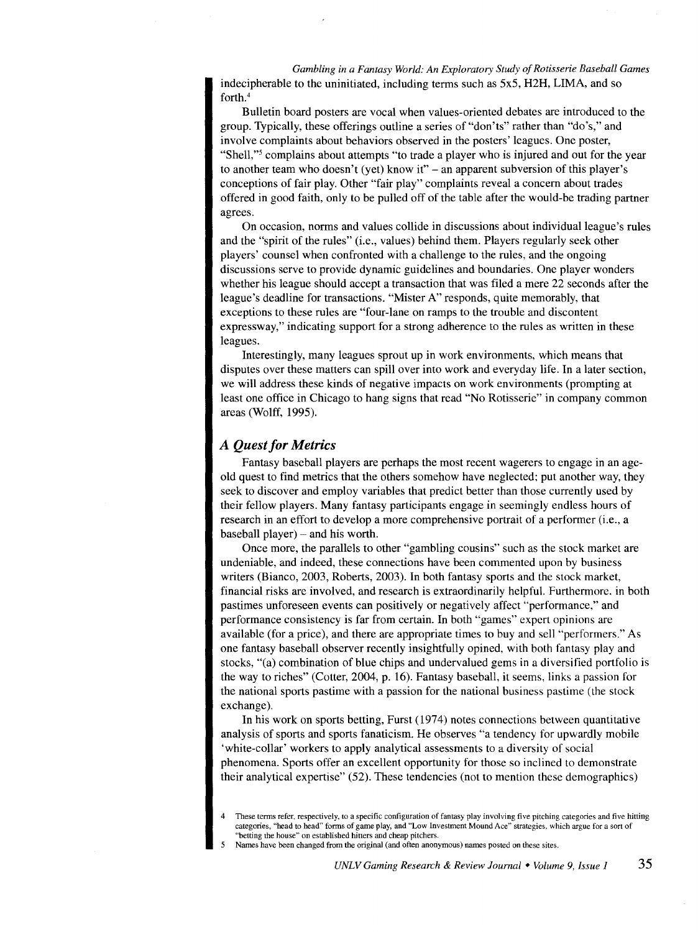*Gambling in a Fantasy World: An Exploratory Study of Rotisserie Baseball Games*  indecipherable to the uninitiated, including terms such as 5x5, H2H, LIMA, and so forth. <sup>4</sup>

Bulletin board posters are vocal when values-oriented debates are introduced to the group. Typically, these offerings outline a series of "don'ts" rather than "do's," and involve complaints about behaviors observed in the posters' leagues. One poster, "Shell,"5 complains about attempts "to trade a player who is injured and out for the year to another team who doesn't (yet) know it" - an apparent subversion of this player's conceptions of fair play. Other "fair play" complaints reveal a concern about trades offered in good faith, only to be pulled off of the table after the would-be trading partner agrees.

On occasion, norms and values collide in discussions about individual league's rules and the "spirit of the rules" (i.e., values) behind them. Players regularly seek other players' counsel when confronted with a challenge to the rules, and the ongoing discussions serve to provide dynamic guidelines and boundaries. One player wonders whether his league should accept a transaction that was filed a mere 22 seconds after the league's deadline for transactions. "Mister A" responds, quite memorably, that exceptions to these rules are "four-lane on ramps to the trouble and discontent expressway," indicating support for a strong adherence to the rules as written in these leagues.

Interestingly, many leagues sprout up in work environments, which means that disputes over these matters can spill over into work and everyday life. In a later section, we will address these kinds of negative impacts on work environments (prompting at least one office in Chicago to hang signs that read "No Rotisserie" in company common areas (Wolff, 1995).

# *A Quest for Metrics*

Fantasy baseball players are perhaps the most recent wagerers to engage in an ageold quest to find metrics that the others somehow have neglected; put another way, they seek to discover and employ variables that predict better than those currently used by their fellow players. Many fantasy participants engage in seemingly endless hours of research in an effort to develop a more comprehensive portrait of a performer (i.e., a  $baseball player$ ) – and his worth.

Once more, the parallels to other "gambling cousins" such as the stock market are undeniable, and indeed, these connections have been commented upon by business writers (Bianco, 2003, Roberts, 2003). In both fantasy sports and the stock market, financial risks are involved, and research is extraordinarily helpful. Furthermore. in both pastimes unforeseen events can positively or negatively affect "performance," and performance consistency is far from certain. In both "games" expert opinions are available (for a price), and there are appropriate times to buy and sell "performers." As one fantasy baseball observer recently insightfully opined, with both fantasy play and stocks, "(a) combination of blue chips and undervalued gems in a diversified portfolio is the way to riches" (Cotter, 2004, p. 16). Fantasy baseball, it seems, links a passion for the national sports pastime with a passion for the national business pastime (the stock exchange).

In his work on sports betting, Furst (1974) notes connections between quantitative analysis of sports and sports fanaticism. He observes "a tendency for upwardly mobile 'white-collar' workers to apply analytical assessments to a diversity of social phenomena. Sports offer an excellent opportunity for those so inclined to demonstrate their analytical expertise" (52). These tendencies (not to mention these demographics)

These terms refer, respectively, to a specific configuration of fantasy play involving five pitching categories and five hitting categories, "head to head" forms of game play, and "Low Investment Mound Ace" strategies. which argue for a sort of "betting the house" on established hitters and cheap pitchers.

Names have been changed from the original (and often anonymous) names posted on these sites.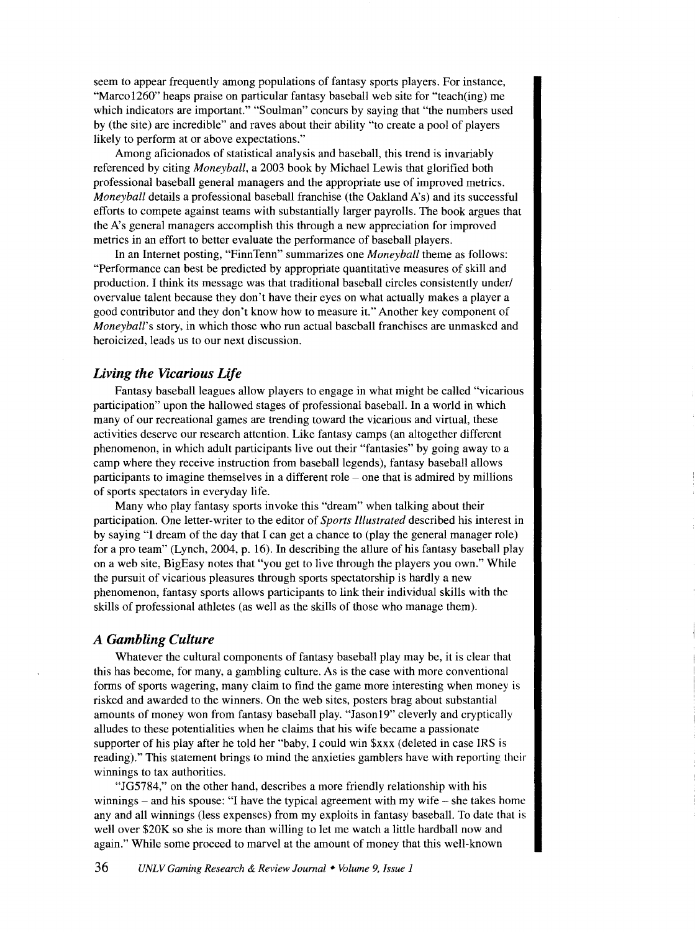seem to appear frequently among populations of fantasy sports players. For instance, "Marcol260" heaps praise on particular fantasy baseball web site for "teach(ing) me which indicators are important." "Soulman" concurs by saying that "the numbers used by (the site) are incredible" and raves about their ability "to create a pool of players likely to perform at or above expectations."

Among aficionados of statistical analysis and baseball, this trend is invariably referenced by citing *Moneyball,* a 2003 book by Michael Lewis that glorified both professional baseball general managers and the appropriate use of improved metrics. *Moneyball* details a professional baseball franchise (the Oakland A's) and its successful efforts to compete against teams with substantially larger payrolls. The book argues that the A's general managers accomplish this through a new appreciation for improved metrics in an effort to better evaluate the performance of baseball players.

In an Internet posting, "FinnTenn" summarizes one *Moneyball* theme as follows: "Performance can best be predicted by appropriate quantitative measures of skill and production. I think its message was that traditional baseball circles consistently under/ overvalue talent because they don't have their eyes on what actually makes a player a good contributor and they don't know how to measure it." Another key component of *Moneyball's* story, in which those who run actual baseball franchises are unmasked and heroicized, leads us to our next discussion.

### *Living the Vicarious Life*

Fantasy baseball leagues allow players to engage in what might be called "vicarious participation" upon the hallowed stages of professional baseball. In a world in which many of our recreational games are trending toward the vicarious and virtual, these activities deserve our research attention. Like fantasy camps (an altogether different phenomenon, in which adult participants live out their "fantasies" by going away to a camp where they receive instruction from baseball legends), fantasy baseball allows participants to imagine themselves in a different role - one that is admired by millions of sports spectators in everyday life.

Many who play fantasy sports invoke this "dream" when talking about their participation. One letter-writer to the editor of *Sports Illustrated* described his interest in by saying "I dream of the day that I can get a chance to (play the general manager role) for a pro team" (Lynch, 2004, p. 16). In describing the allure of his fantasy baseball play on a web site, BigEasy notes that "you get to live through the players you own." While the pursuit of vicarious pleasures through sports spectatorship is hardly a new phenomenon, fantasy sports allows participants to link their individual skills with the skills of professional athletes (as well as the skills of those who manage them).

## *A Gambling Culture*

Whatever the cultural components of fantasy baseball play may be, it is clear that this has become, for many, a gambling culture. As is the case with more conventional forms of sports wagering, many claim to find the game more interesting when money is risked and awarded to the winners. On the web sites, posters brag about substantial amounts of money won from fantasy baseball play. "Jason19" cleverly and cryptically alludes to these potentialities when he claims that his wife became a passionate supporter of his play after he told her "baby, I could win \$xxx (deleted in case IRS is reading)." This statement brings to mind the anxieties gamblers have with reporting their winnings to tax authorities.

"JG5784," on the other hand, describes a more friendly relationship with his winnings  $-$  and his spouse: "I have the typical agreement with my wife  $-$  she takes home any and all winnings (less expenses) from my exploits in fantasy baseball. To date that is well over \$20K so she is more than willing to let me watch a little hardball now and again." While some proceed to marvel at the amount of money that this well-known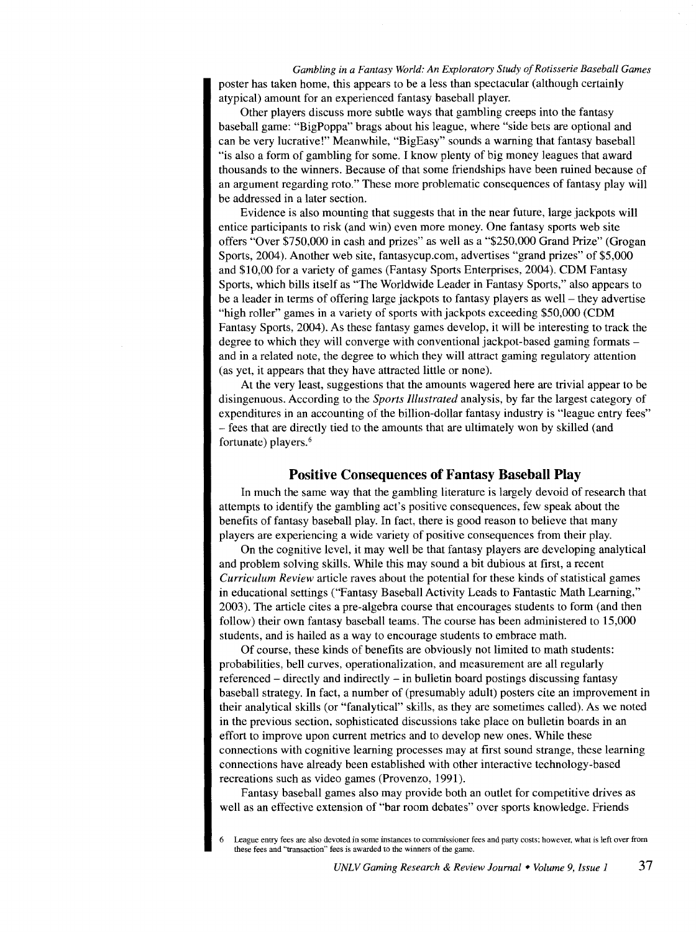*Gambling in a Fantasy World: An Exploratory Study of Rotisserie Baseball Games*  poster has taken horne, this appears to be a less than spectacular (although certainly atypical) amount for an experienced fantasy baseball player.

Other players discuss more subtle ways that gambling creeps into the fantasy baseball game: "BigPoppa" brags about his league, where "side bets are optional and can be very lucrative!" Meanwhile, "BigEasy" sounds a warning that fantasy baseball "is also a form of gambling for some. I know plenty of big money leagues that award thousands to the winners. Because of that some friendships have been ruined because of an argument regarding roto." These more problematic consequences of fantasy play will be addressed in a later section.

Evidence is also mounting that suggests that in the near future, large jackpots will entice participants to risk (and win) even more money. One fantasy sports web site offers "Over \$750,000 in cash and prizes" as well as a "\$250,000 Grand Prize" (Grogan Sports, 2004). Another web site, fantasycup.corn, advertises "grand prizes" of \$5,000 and \$10,00 for a variety of games (Fantasy Sports Enterprises, 2004). CDM Fantasy Sports, which bills itself as "The Worldwide Leader in Fantasy Sports," also appears to be a leader in terms of offering large jackpots to fantasy players as well – they advertise "high roller" games in a variety of sports with jackpots exceeding \$50,000 (CDM Fantasy Sports, 2004). As these fantasy games develop, it will be interesting to track the degree to which they will converge with conventional jackpot-based gaming formatsand in a related note, the degree to which they will attract gaming regulatory attention (as yet, it appears that they have attracted little or none).

At the very least, suggestions that the amounts wagered here are trivial appear to be disingenuous. According to the *Sports Illustrated* analysis, by far the largest category of expenditures in an accounting of the billion-dollar fantasy industry is "league entry fees" -fees that are directly tied to the amounts that are ultimately won by skilled (and fortunate) players.6

# **Positive Consequences of Fantasy Baseball Play**

In much the same way that the gambling literature is largely devoid of research that attempts to identify the gambling act's positive consequences, few speak about the benefits of fantasy baseball play. In fact, there is good reason to believe that many players are experiencing a wide variety of positive consequences from their play.

On the cognitive level, it may well be that fantasy players are developing analytical and problem solving skills. While this may sound a bit dubious at first, a recent *Curriculum Review* article raves about the potential for these kinds of statistical games in educational settings ("Fantasy Baseball Activity Leads to Fantastic Math Learning," 2003). The article cites a pre-algebra course that encourages students to form (and then follow) their own fantasy baseball teams. The course has been administered to 15,000 students, and is hailed as a way to encourage students to embrace math.

Of course, these kinds of benefits are obviously not limited to math students: probabilities, bell curves, operationalization, and measurement are all regularly referenced -directly and indirectly -in bulletin board postings discussing fantasy baseball strategy. In fact, a number of (presumably adult) posters cite an improvement in their analytical skills (or "fanalytical" skills, as they are sometimes called). As we noted in the previous section, sophisticated discussions take place on bulletin boards in an effort to improve upon current rnetrics and to develop new ones. While these connections with cognitive learning processes may at first sound strange, these learning connections have already been established with other interactive technology-based recreations such as video games (Provenza, 1991).

Fantasy baseball games also may provide both an outlet for competitive drives as well as an effective extension of "bar room debates" over sports knowledge. Friends

League entry fees are also devoted in some instances to commissioner fees and party costs; however, what is left over from these fees and "transaction'' fees is awarded to the winners of the game.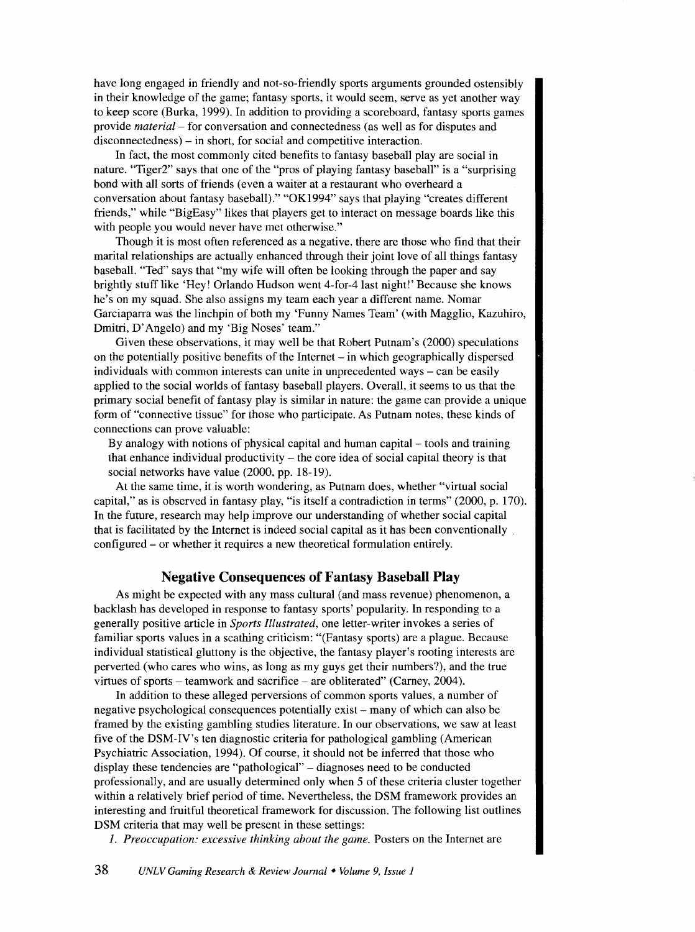have long engaged in friendly and not-so-friendly sports arguments grounded ostensibly in their knowledge of the game; fantasy sports, it would seem, serve as yet another way to keep score (Burka, 1999). In addition to providing a scoreboard, fantasy sports games provide *material-* for conversation and connectedness (as well as for disputes and disconnectedness) – in short, for social and competitive interaction.

In fact, the most commonly cited benefits to fantasy baseball play are social in nature. "Tiger2'' says that one of the "pros of playing fantasy baseball" is a "surprising bond with all sorts of friends (even a waiter at a restaurant who overheard a conversation about fantasy baseball)." "OK1994" says that playing "creates different friends," while "BigEasy" likes that players get to interact on message boards like this with people you would never have met otherwise."

Though it is most often referenced as a negative. there are those who find that their marital relationships are actually enhanced through their joint love of all things fantasy baseball. "Ted" says that "my wife will often be looking through the paper and say brightly stuff like 'Hey! Orlando Hudson went 4-for-4last night!' Because she knows he's on my squad. She also assigns my team each year a different name. Nomar Garciaparra was the linchpin of both my 'Funny Names Team' (with Magglio, Kazuhiro, Dmitri, D'Angelo) and my 'Big Noses' team."

Given these observations, it may well be that Robert Putnam's (2000) speculations on the potentially positive benefits of the Internet- in which geographically dispersed individuals with common interests can unite in unprecedented ways – can be easily applied to the social worlds of fantasy baseball players. Overall, it seems to us that the primary social benefit of fantasy play is similar in nature: the game can provide a unique form of "connective tissue" for those who participate. As Putnam notes, these kinds of connections can prove valuable:

By analogy with notions of physical capital and human capital- tools and training that enhance individual productivity  $-$  the core idea of social capital theory is that social networks have value (2000, pp. 18-19).

At the same time, it is worth wondering, as Putnam does, whether "virtual social capital," as is observed in fantasy play, "is itself a contradiction in terms" (2000, p. 170). In the future, research may help improve our understanding of whether social capital that is facilitated by the Internet is indeed social capital as it has been conventionally configured - or whether it requires a new theoretical formulation entirely.

### **Negative Consequences of Fantasy Baseball Play**

As might be expected with any mass cultural (and mass revenue) phenomenon, a backlash has developed in response to fantasy sports' popularity. In responding to a generally positive article in *Sports Illustrated,* one letter-writer invokes a series of familiar sports values in a scathing criticism: "(Fantasy sports) are a plague. Because individual statistical gluttony is the objective, the fantasy player's rooting interests are perverted (who cares who wins, as long as my guys get their numbers?), and the true virtues of sports – teamwork and sacrifice – are obliterated" (Carney, 2004).

In addition to these alleged perversions of common sports values, a number of negative psychological consequences potentially exist- many of which can also be framed by the existing gambling studies literature. In our observations, we saw at least five of the DSM-IV's ten diagnostic criteria for pathological gambling (American Psychiatric Association, 1994). Of course, it should not be inferred that those who display these tendencies are "pathological" – diagnoses need to be conducted professionally, and are usually determined only when 5 of these criteria cluster together within a relatively brief period of time. Nevertheless, the DSM framework provides an interesting and fruitful theoretical framework for discussion. The following list outlines DSM criteria that may well be present in these settings:

*1. Preoccupation: excessive thinking about the game.* Posters on the Internet are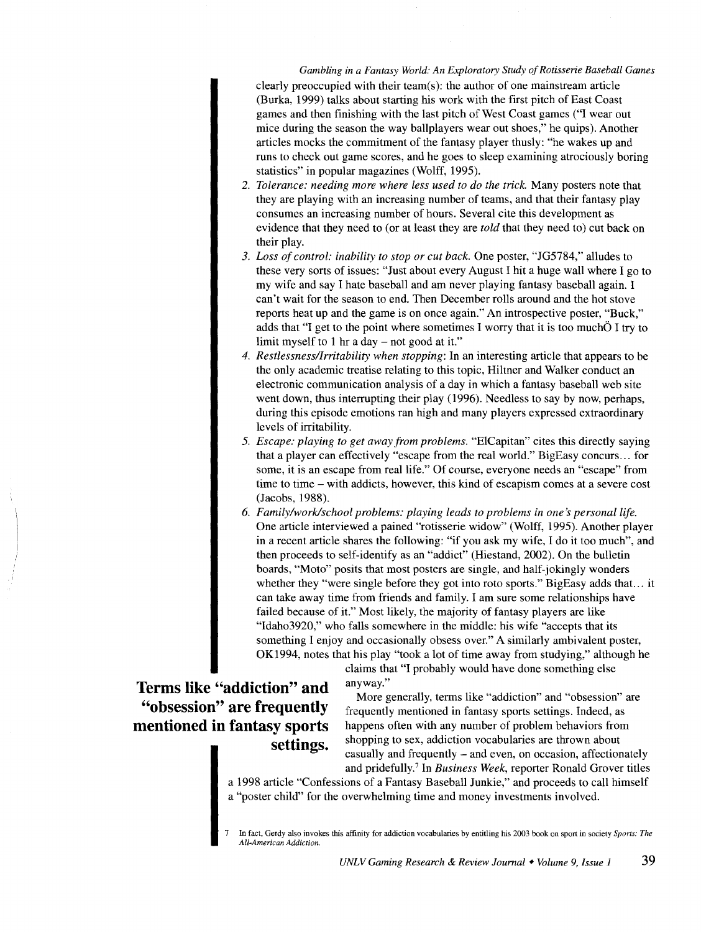*Gambling in a Fantasy World: An Exploratory Study of Rotisserie Baseball Games*  clearly preoccupied with their team(s): the author of one mainstream article (Burka, 1999) talks about starting his work with the first pitch of East Coast games and then finishing with the last pitch of West Coast games ("I wear out mice during the season the way ballplayers wear out shoes," he quips). Another articles mocks the commitment of the fantasy player thusly: "he wakes up and runs to check out game scores, and he goes to sleep examining atrociously boring statistics" in popular magazines (Wolff, 1995).

- 2. *Tolerance: needing more where less used to do the trick.* Many posters note that they are playing with an increasing number of teams, and that their fantasy play consumes an increasing number of hours. Several cite this development as evidence that they need to (or at least they are *told* that they need to) cut back on their play.
- *3. Loss of control: inability to stop or cut back.* One poster, "JG5784," alludes to these very sorts of issues: "Just about every August I hit a huge wall where I go to my wife and say I hate baseball and am never playing fantasy baseball again. I can't wait for the season to end. Then December rolls around and the hot stove reports heat up and the game is on once again." An introspective poster, "Buck," adds that "I get to the point where sometimes I worry that it is too much I try to limit myself to 1 hr a day  $-$  not good at it."
- *4. Restlessness/Irritability when stopping:* In an interesting article that appears to be the only academic treatise relating to this topic, Hiltner and Walker conduct an electronic communication analysis of a day in which a fantasy baseball web site went down, thus interrupting their play (1996). Needless to say by now, perhaps, during this episode emotions ran high and many players expressed extraordinary levels of irritability.
- *5. Escape: playing to get away from problems.* "ElCapitan" cites this directly saying that a player can effectively "escape from the real world." BigEasy concurs ... for some, it is an escape from real life." Of course, everyone needs an "escape" from time to time - with addicts, however, this kind of escapism comes at a severe cost (Jacobs, 1988).
- *6. Family/work/school problems: playing leads to problems in one's personal life.*  One article interviewed a pained "rotisserie widow" (Wolff, 1995). Another player in a recent article shares the following: "if you ask my wife, I do it too much", and then proceeds to self-identify as an "addict" (Hiestand, 2002). On the bulletin boards, "Moto" posits that most posters are single, and half-jokingly wonders whether they "were single before they got into roto sports." BigEasy adds that... it can take away time from friends and family. I am sure some relationships have failed because of it." Most likely, the majority of fantasy players are like "Idaho3920," who falls somewhere in the middle: his wife "accepts that its something I enjoy and occasionally obsess over." A similarly ambivalent poster, OK1994, notes that his play "took a lot of time away from studying," although he

claims that "I probably would have done something else **Terms like "addiction" and anyway."** More generally, terms like "addiction" and "obsession" are

frequently mentioned in fantasy sports settings. Indeed, as happens often with any number of problem behaviors from shopping to sex, addiction vocabularies are thrown about casually and frequently - and even, on occasion, affectionately and pridefully.<sup>7</sup>In *Business Week,* reporter Ronald Grover titles

a 1998 article "Confessions of a Fantasy Baseball Junkie," and proceeds to call himself a "poster child" for the overwhelming time and money investments involved.

**"obsession" are frequently mentioned in fantasy sports** 

**settings.** 

<sup>7</sup> In fact. Gerdy also invokes this affinity for addiction vocabularies by entitling his 2003 book on sport in society *Sports: The All-American Addiction.*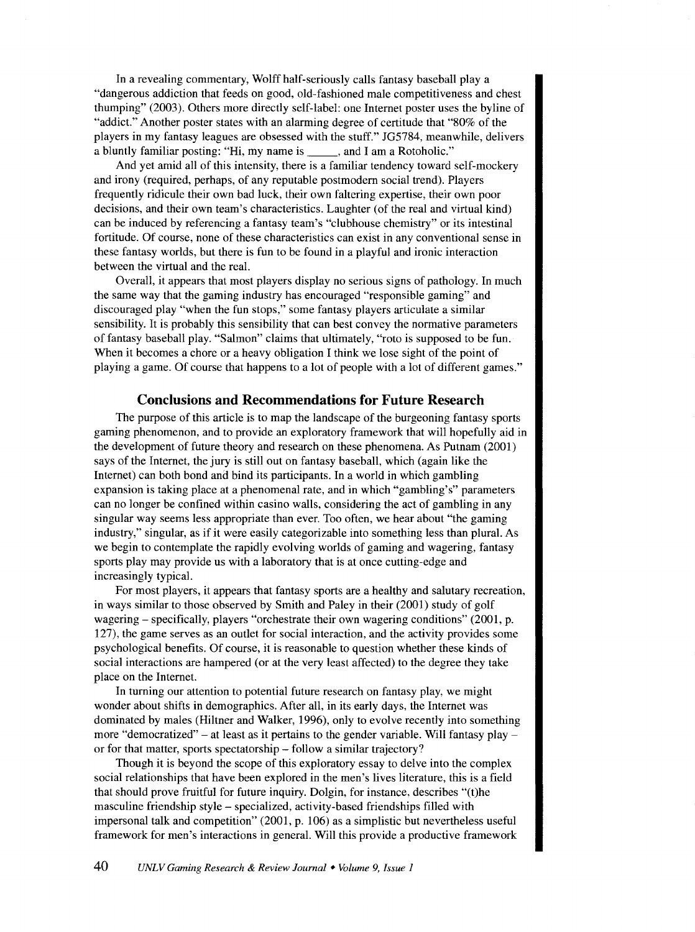In a revealing commentary, Wolff half-seriously calls fantasy baseball play a "dangerous addiction that feeds on good, old-fashioned male competitiveness and chest thumping" (2003). Others more directly self-label: one Internet poster uses the byline of "addict." Another poster states with an alarming degree of certitude that "80% of the players in my fantasy leagues are obsessed with the stuff." JG5784, meanwhile, delivers a bluntly familiar posting: "Hi, my name is \_\_\_\_\_, and I am a Rotoholic."

And yet amid all of this intensity, there is a familiar tendency toward self-mockery and irony (required, perhaps, of any reputable postmodern social trend). Players frequently ridicule their own bad luck, their own faltering expertise, their own poor decisions, and their own team's characteristics. Laughter (of the real and virtual kind) can be induced by referencing a fantasy team's "clubhouse chemistry" or its intestinal fortitude. Of course, none of these characteristics can exist in any conventional sense in these fantasy worlds, but there is fun to be found in a playful and ironic interaction between the virtual and the real.

Overall, it appears that most players display no serious signs of pathology. In much the same way that the gaming industry has encouraged "responsible gaming" and discouraged play "when the fun stops," some fantasy players articulate a similar sensibility. It is probably this sensibility that can best convey the normative parameters of fantasy baseball play. "Salmon" claims that ultimately, "roto is supposed to be fun. When it becomes a chore or a heavy obligation I think we lose sight of the point of playing a game. Of course that happens to a lot of people with a lot of different games."

#### **Conclusions and Recommendations for Future Research**

The purpose of this article is to map the landscape of the burgeoning fantasy sports gaming phenomenon, and to provide an exploratory framework that will hopefully aid in the development of future theory and research on these phenomena. As Putnam (2001) says of the Internet, the jury is still out on fantasy baseball, which (again like the Internet) can both bond and bind its participants. In a world in which gambling expansion is taking place at a phenomenal rate, and in which "gambling's" parameters can no longer be confined within casino walls, considering the act of gambling in any singular way seems less appropriate than ever. Too often, we hear about "the gaming industry," singular, as if it were easily categorizable into something less than plural. As we begin to contemplate the rapidly evolving worlds of gaming and wagering, fantasy sports play may provide us with a laboratory that is at once cutting-edge and increasingly typical.

For most players, it appears that fantasy sports are a healthy and salutary recreation, in ways similar to those observed by Smith and Paley in their (2001) study of golf wagering – specifically, players "orchestrate their own wagering conditions" (2001, p. 127), the game serves as an outlet for social interaction, and the activity provides some psychological benefits. Of course, it is reasonable to question whether these kinds of social interactions are hampered (or at the very least affected) to the degree they take place on the Internet.

In turning our attention to potential future research on fantasy play, we might wonder about shifts in demographics. After all, in its early days, the Internet was dominated by males (Hiltner and Walker, 1996), only to evolve recently into something more "democratized" - at least as it pertains to the gender variable. Will fantasy play or for that matter, sports spectatorship – follow a similar trajectory?

Though it is beyond the scope of this exploratory essay to delve into the complex social relationships that have been explored in the men's lives literature, this is a field that should prove fruitful for future inquiry. Dolgin, for instance, describes "(t)he masculine friendship style- specialized, activity-based friendships filled with impersonal talk and competition" (2001, p. 106) as a simplistic but nevertheless useful framework for men's interactions in general. Will this provide a productive framework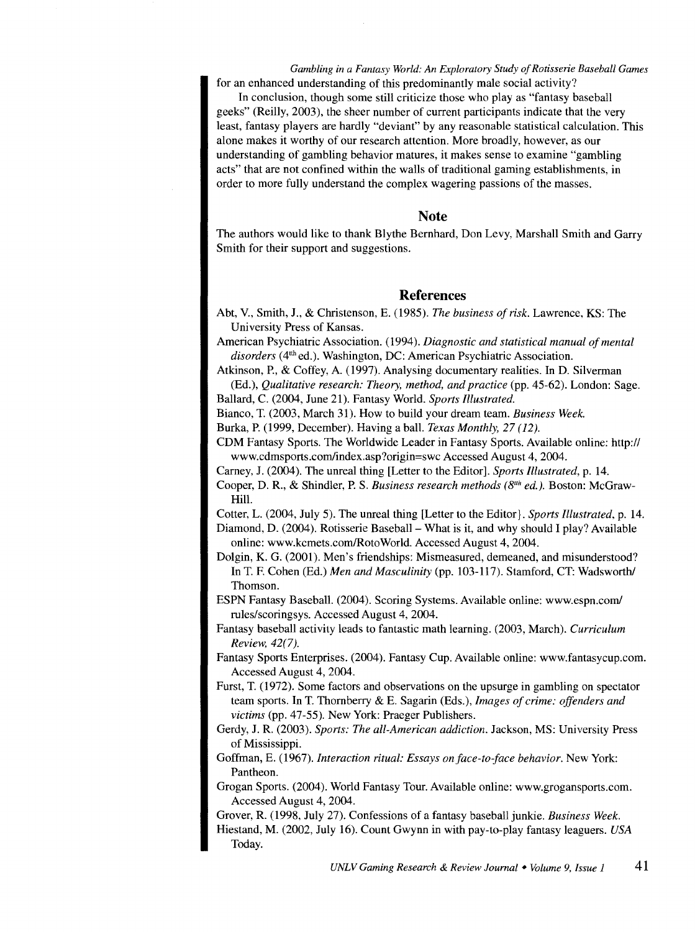*Gambling in a Fantasy World: An Exploratory Study of Rotisserie Baseball Games*  for an enhanced understanding of this predominantly male social activity?

In conclusion, though some still criticize those who play as "fantasy baseball geeks" (Reilly, 2003), the sheer number of current participants indicate that the very least, fantasy players are hardly "deviant" by any reasonable statistical calculation. This alone makes it worthy of our research attention. More broadly, however, as our understanding of gambling behavior matures, it makes sense to examine "gambling acts" that are not confined within the walls of traditional gaming establishments, in order to more fully understand the complex wagering passions of the masses.

### **Note**

The authors would like to thank Blythe Bernhard, Don Levy, Marshall Smith and Garry Smith for their support and suggestions.

## **References**

- Abt, V., Smith, J., & Christenson, E. (1985). *The business of risk.* Lawrence, KS: The University Press of Kansas.
- American Psychiatric Association. (1994). *Diagnostic and statistical manual of mental*  disorders (4<sup>th</sup> ed.). Washington, DC: American Psychiatric Association.

Atkinson, P., & Coffey, A. (1997). Analysing documentary realities. In D. Silverman (Ed.), *Qualitative research: Theory, method, and practice* (pp. 45-62). London: Sage.

Ballard, C. (2004, June 21). Fantasy World. *Sports Illustrated.* 

Bianco, T. (2003, March 31). How to build your dream team. *Business Week.* 

Burka, P. (1999, December). Having a ball. *Texas Monthly,* 27 *( 12).* 

CDM Fantasy Sports. The Worldwide Leader in Fantasy Sports. Available online: http:// www.cdmsports.com/index.asp?origin=swc Accessed August 4, 2004.

Carney, J. (2004). The unreal thing [Letter to the Editor]. *Sports Illustrated,* p. 14.

Cooper, D. R., & Shindler, P. S. *Business research methods (8nh ed.).* Boston: McGraw-Hill.

Cotter, L. (2004, July 5). The unreal thing [Letter to the Editor}. *Sports Illustrated,* p. 14.

- Diamond, D. (2004). Rotisserie Baseball- What is it, and why should I play? Available online: www.kcmets.com/RotoWorld. Accessed August 4, 2004.
- Dolgin, K. G. (2001). Men's friendships: Mismeasured, demeaned, and misunderstood? InT. F. Cohen (Ed.) *Men and Masculinity* (pp. 103-117). Stamford, CT: Wadsworth/ Thomson.

ESPN Fantasy Baseball. (2004). Scoring Systems. Available online: www.espn.com/ rules/scoringsys. Accessed August 4, 2004.

Fantasy baseball activity leads to fantastic math learning. (2003, March). *Curriculum Review,* 42(7).

- Fantasy Sports Enterprises. (2004). Fantasy Cup. Available online: www.fantasycup.com. Accessed August 4, 2004.
- Furst, T. (1972). Some factors and observations on the upsurge in gambling on spectator team sports. InT. Thornberry & E. Sagarin (Eds.), *Images of crime: offenders and victims* (pp. 47-55). New York: Praeger Publishers.
- Gerdy, J. R. (2003). *Sports: The all-American addiction.* Jackson, MS: University Press of Mississippi.

Goffman, E. (1967). *Interaction ritual: Essays on face-to-face behavior.* New York: Pantheon.

Grogan Sports. (2004). World Fantasy Tour. Available online: www.grogansports.com. Accessed August 4, 2004.

Grover, R. (1998, July 27). Confessions of a fantasy baseball junkie. *Business Week.* 

Hiestand, M. (2002, July 16). Count Gwynn in with pay-to-play fantasy leaguers. *USA*  Today.